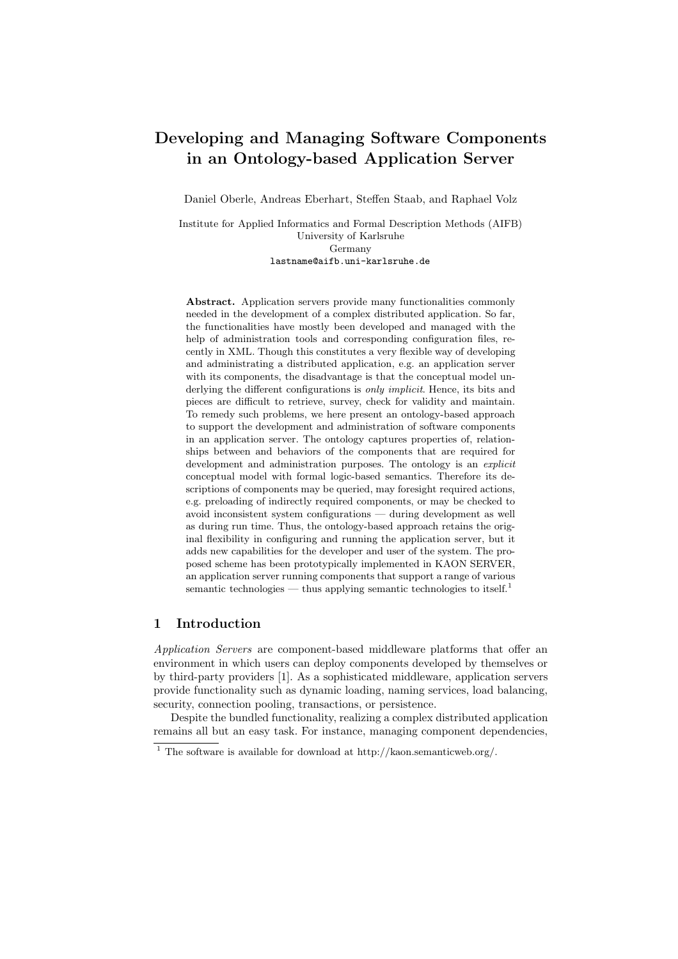# **Developing and Managing Software Components in an Ontology-based Application Server**

Daniel Oberle, Andreas Eberhart, Steffen Staab, and Raphael Volz

Institute for Applied Informatics and Formal Description Methods (AIFB) University of Karlsruhe Germany lastname@aifb.uni-karlsruhe.de

**Abstract.** Application servers provide many functionalities commonly needed in the development of a complex distributed application. So far, the functionalities have mostly been developed and managed with the help of administration tools and corresponding configuration files, recently in XML.Though this constitutes a very flexible way of developing and administrating a distributed application, e.g. an application server with its components, the disadvantage is that the conceptual model underlying the different configurations is *only implicit*. Hence, its bits and pieces are difficult to retrieve, survey, check for validity and maintain. To remedy such problems, we here present an ontology-based approach to support the development and administration of software components in an application server.The ontology captures properties of, relationships between and behaviors of the components that are required for development and administration purposes.The ontology is an *explicit* conceptual model with formal logic-based semantics.Therefore its descriptions of components may be queried, may foresight required actions, e.g. preloading of indirectly required components, or may be checked to avoid inconsistent system configurations — during development as well as during run time.Thus, the ontology-based approach retains the original flexibility in configuring and running the application server, but it adds new capabilities for the developer and user of the system.The proposed scheme has been prototypically implemented in KAON SERVER, an application server running components that support a range of various semantic technologies — thus applying semantic technologies to itself.<sup>1</sup>

## **1 Introduction**

*Application Servers* are component-based middleware platforms that offer an environment in which users can deploy components developed by themselves or by third-party providers [1]. As a sophisticated middleware, application servers provide functionality such as dynamic loading, naming services, load balancing, security, connection pooling, transactions, or persistence.

Despite the bundled functionality, realizing a complex distributed application remains all but an easy task. For instance, managing component dependencies,

<sup>&</sup>lt;sup>1</sup> The software is available for download at http://kaon.semanticweb.org/.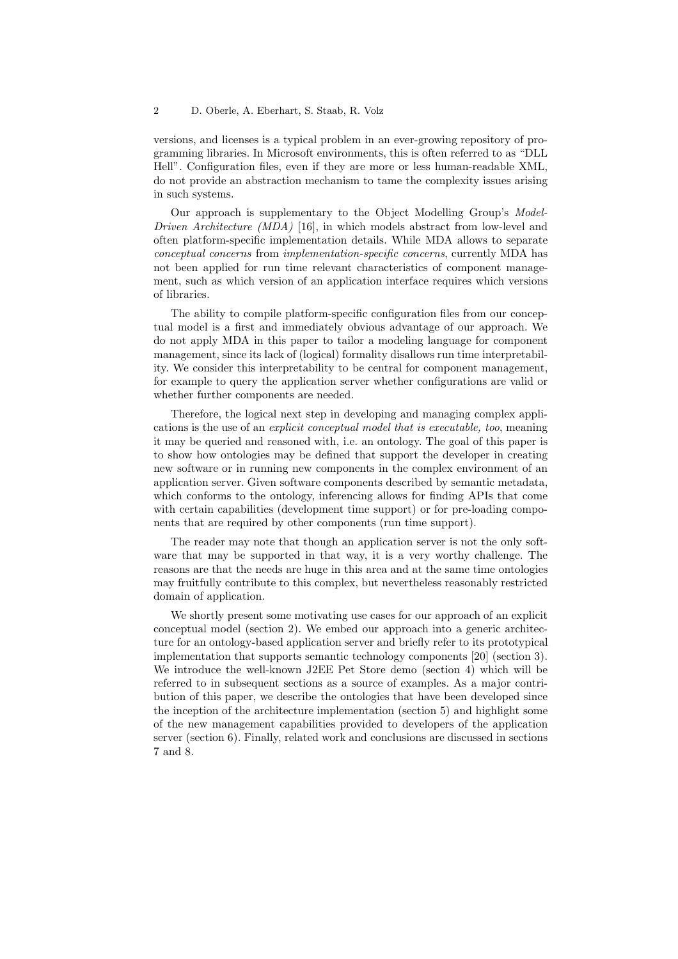versions, and licenses is a typical problem in an ever-growing repository of programming libraries. In Microsoft environments, this is often referred to as "DLL Hell". Configuration files, even if they are more or less human-readable XML, do not provide an abstraction mechanism to tame the complexity issues arising in such systems.

Our approach is supplementary to the Object Modelling Group's *Model-Driven Architecture (MDA)* [16], in which models abstract from low-level and often platform-specific implementation details. While MDA allows to separate *conceptual concerns* from *implementation-specific concerns*, currently MDA has not been applied for run time relevant characteristics of component management, such as which version of an application interface requires which versions of libraries.

The ability to compile platform-specific configuration files from our conceptual model is a first and immediately obvious advantage of our approach. We do not apply MDA in this paper to tailor a modeling language for component management, since its lack of (logical) formality disallows run time interpretability. We consider this interpretability to be central for component management, for example to query the application server whether configurations are valid or whether further components are needed.

Therefore, the logical next step in developing and managing complex applications is the use of an *explicit conceptual model that is executable, too*, meaning it may be queried and reasoned with, i.e. an ontology. The goal of this paper is to show how ontologies may be defined that support the developer in creating new software or in running new components in the complex environment of an application server. Given software components described by semantic metadata, which conforms to the ontology, inferencing allows for finding APIs that come with certain capabilities (development time support) or for pre-loading components that are required by other components (run time support).

The reader may note that though an application server is not the only software that may be supported in that way, it is a very worthy challenge. The reasons are that the needs are huge in this area and at the same time ontologies may fruitfully contribute to this complex, but nevertheless reasonably restricted domain of application.

We shortly present some motivating use cases for our approach of an explicit conceptual model (section 2). We embed our approach into a generic architecture for an ontology-based application server and briefly refer to its prototypical implementation that supports semantic technology components [20] (section 3). We introduce the well-known J2EE Pet Store demo (section 4) which will be referred to in subsequent sections as a source of examples. As a major contribution of this paper, we describe the ontologies that have been developed since the inception of the architecture implementation (section 5) and highlight some of the new management capabilities provided to developers of the application server (section 6). Finally, related work and conclusions are discussed in sections 7 and 8.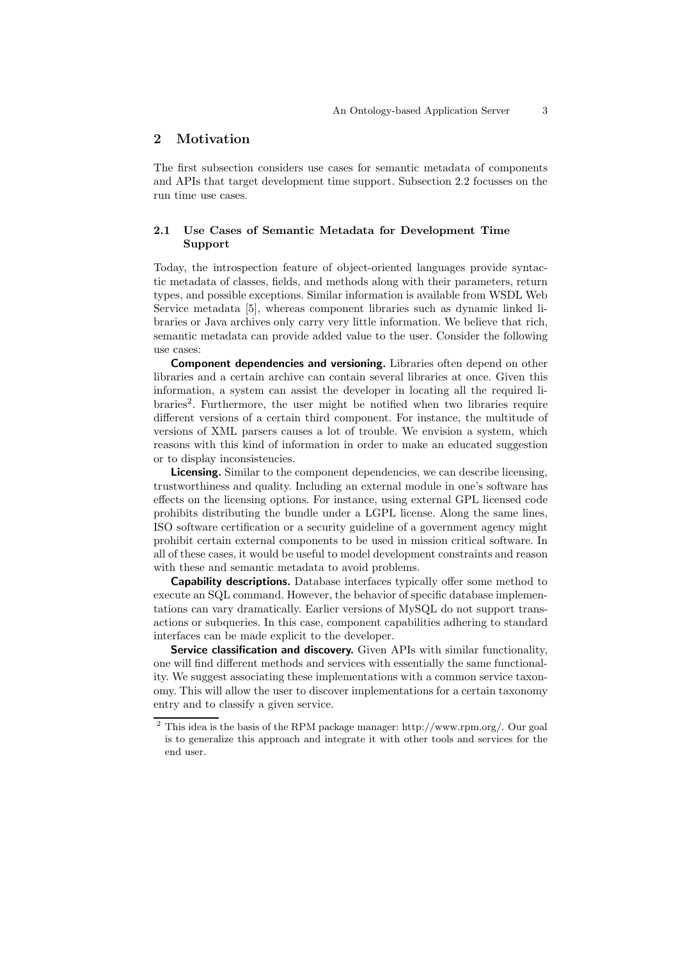## **2 Motivation**

The first subsection considers use cases for semantic metadata of components and APIs that target development time support. Subsection 2.2 focusses on the run time use cases.

## **2.1 Use Cases of Semantic Metadata for Development Time Support**

Today, the introspection feature of object-oriented languages provide syntactic metadata of classes, fields, and methods along with their parameters, return types, and possible exceptions. Similar information is available from WSDL Web Service metadata [5], whereas component libraries such as dynamic linked libraries or Java archives only carry very little information. We believe that rich, semantic metadata can provide added value to the user. Consider the following use cases:

**Component dependencies and versioning.** Libraries often depend on other libraries and a certain archive can contain several libraries at once. Given this information, a system can assist the developer in locating all the required libraries<sup>2</sup>. Furthermore, the user might be notified when two libraries require different versions of a certain third component. For instance, the multitude of versions of XML parsers causes a lot of trouble. We envision a system, which reasons with this kind of information in order to make an educated suggestion or to display inconsistencies.

**Licensing.** Similar to the component dependencies, we can describe licensing, trustworthiness and quality. Including an external module in one's software has effects on the licensing options. For instance, using external GPL licensed code prohibits distributing the bundle under a LGPL license. Along the same lines, ISO software certification or a security guideline of a government agency might prohibit certain external components to be used in mission critical software. In all of these cases, it would be useful to model development constraints and reason with these and semantic metadata to avoid problems.

**Capability descriptions.** Database interfaces typically offer some method to execute an SQL command. However, the behavior of specific database implementations can vary dramatically. Earlier versions of MySQL do not support transactions or subqueries. In this case, component capabilities adhering to standard interfaces can be made explicit to the developer.

**Service classification and discovery.** Given APIs with similar functionality, one will find different methods and services with essentially the same functionality. We suggest associating these implementations with a common service taxonomy. This will allow the user to discover implementations for a certain taxonomy entry and to classify a given service.

 $^2$  This idea is the basis of the RPM package manager: http://www.rpm.org/. Our goal is to generalize this approach and integrate it with other tools and services for the end user.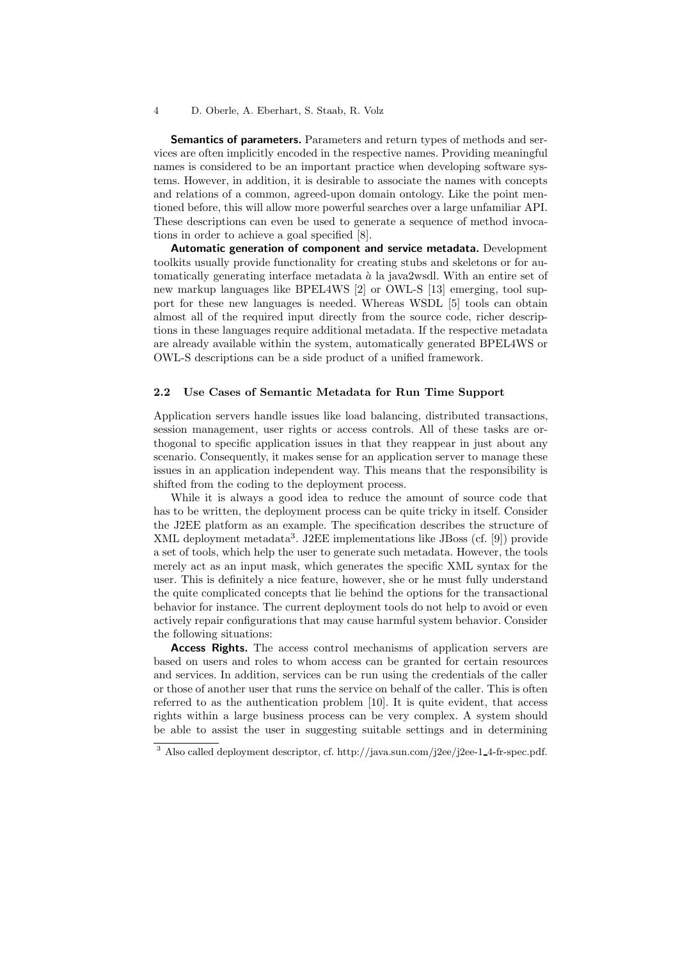**Semantics of parameters.** Parameters and return types of methods and services are often implicitly encoded in the respective names. Providing meaningful names is considered to be an important practice when developing software systems. However, in addition, it is desirable to associate the names with concepts and relations of a common, agreed-upon domain ontology. Like the point mentioned before, this will allow more powerful searches over a large unfamiliar API. These descriptions can even be used to generate a sequence of method invocations in order to achieve a goal specified [8].

**Automatic generation of component and service metadata.** Development toolkits usually provide functionality for creating stubs and skeletons or for automatically generating interface metadata  $\dot{a}$  la java2wsdl. With an entire set of new markup languages like BPEL4WS [2] or OWL-S [13] emerging, tool support for these new languages is needed. Whereas WSDL [5] tools can obtain almost all of the required input directly from the source code, richer descriptions in these languages require additional metadata. If the respective metadata are already available within the system, automatically generated BPEL4WS or OWL-S descriptions can be a side product of a unified framework.

#### **2.2 Use Cases of Semantic Metadata for Run Time Support**

Application servers handle issues like load balancing, distributed transactions, session management, user rights or access controls. All of these tasks are orthogonal to specific application issues in that they reappear in just about any scenario. Consequently, it makes sense for an application server to manage these issues in an application independent way. This means that the responsibility is shifted from the coding to the deployment process.

While it is always a good idea to reduce the amount of source code that has to be written, the deployment process can be quite tricky in itself. Consider the J2EE platform as an example. The specification describes the structure of XML deployment metadata<sup>3</sup>. J2EE implementations like JBoss (cf. [9]) provide a set of tools, which help the user to generate such metadata. However, the tools merely act as an input mask, which generates the specific XML syntax for the user. This is definitely a nice feature, however, she or he must fully understand the quite complicated concepts that lie behind the options for the transactional behavior for instance. The current deployment tools do not help to avoid or even actively repair configurations that may cause harmful system behavior. Consider the following situations:

**Access Rights.** The access control mechanisms of application servers are based on users and roles to whom access can be granted for certain resources and services. In addition, services can be run using the credentials of the caller or those of another user that runs the service on behalf of the caller. This is often referred to as the authentication problem [10]. It is quite evident, that access rights within a large business process can be very complex. A system should be able to assist the user in suggesting suitable settings and in determining

<sup>3</sup> Also called deployment descriptor, cf. http://java.sun.com/j2ee/j2ee-1 4-fr-spec.pdf.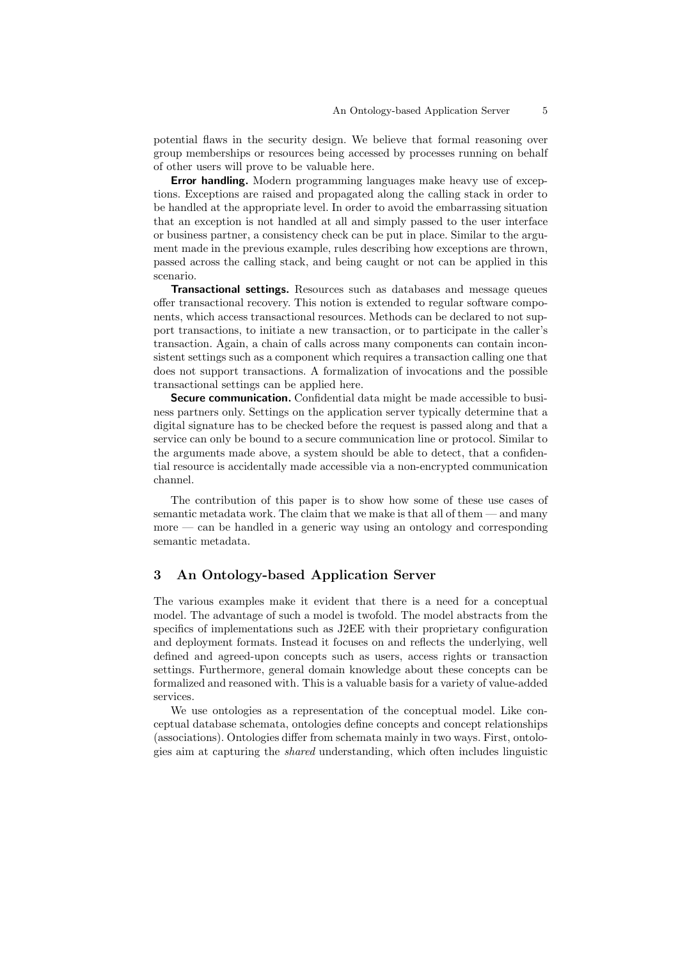potential flaws in the security design. We believe that formal reasoning over group memberships or resources being accessed by processes running on behalf of other users will prove to be valuable here.

**Error handling.** Modern programming languages make heavy use of exceptions. Exceptions are raised and propagated along the calling stack in order to be handled at the appropriate level. In order to avoid the embarrassing situation that an exception is not handled at all and simply passed to the user interface or business partner, a consistency check can be put in place. Similar to the argument made in the previous example, rules describing how exceptions are thrown, passed across the calling stack, and being caught or not can be applied in this scenario.

**Transactional settings.** Resources such as databases and message queues offer transactional recovery. This notion is extended to regular software components, which access transactional resources. Methods can be declared to not support transactions, to initiate a new transaction, or to participate in the caller's transaction. Again, a chain of calls across many components can contain inconsistent settings such as a component which requires a transaction calling one that does not support transactions. A formalization of invocations and the possible transactional settings can be applied here.

**Secure communication.** Confidential data might be made accessible to business partners only. Settings on the application server typically determine that a digital signature has to be checked before the request is passed along and that a service can only be bound to a secure communication line or protocol. Similar to the arguments made above, a system should be able to detect, that a confidential resource is accidentally made accessible via a non-encrypted communication channel.

The contribution of this paper is to show how some of these use cases of semantic metadata work. The claim that we make is that all of them — and many more — can be handled in a generic way using an ontology and corresponding semantic metadata.

## **3 An Ontology-based Application Server**

The various examples make it evident that there is a need for a conceptual model. The advantage of such a model is twofold. The model abstracts from the specifics of implementations such as J2EE with their proprietary configuration and deployment formats. Instead it focuses on and reflects the underlying, well defined and agreed-upon concepts such as users, access rights or transaction settings. Furthermore, general domain knowledge about these concepts can be formalized and reasoned with. This is a valuable basis for a variety of value-added services.

We use ontologies as a representation of the conceptual model. Like conceptual database schemata, ontologies define concepts and concept relationships (associations). Ontologies differ from schemata mainly in two ways. First, ontologies aim at capturing the *shared* understanding, which often includes linguistic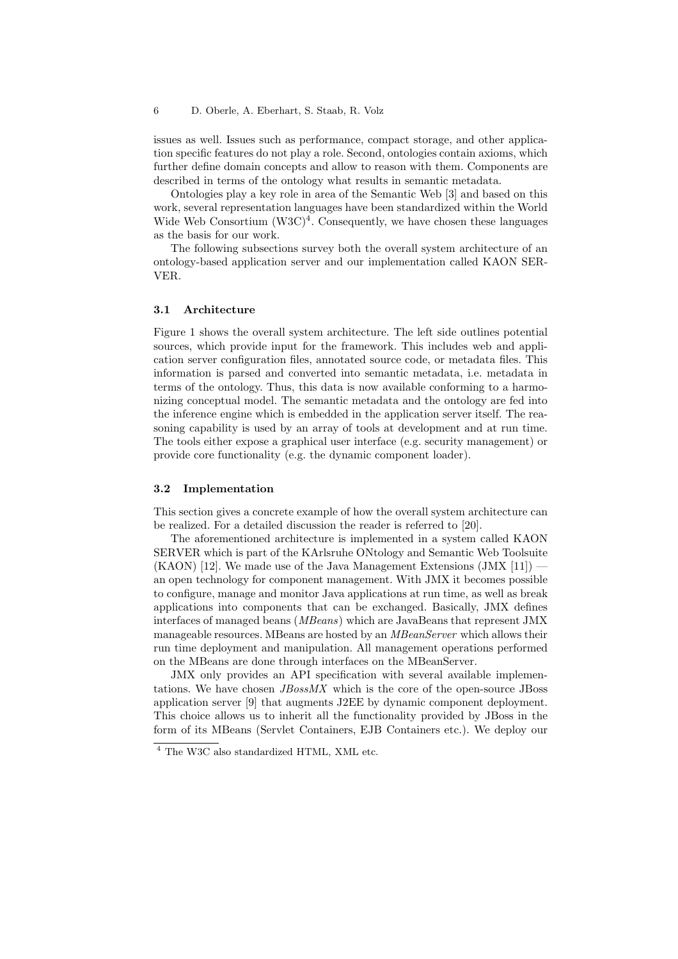issues as well. Issues such as performance, compact storage, and other application specific features do not play a role. Second, ontologies contain axioms, which further define domain concepts and allow to reason with them. Components are described in terms of the ontology what results in semantic metadata.

Ontologies play a key role in area of the Semantic Web [3] and based on this work, several representation languages have been standardized within the World Wide Web Consortium  $(W3C)^4$ . Consequently, we have chosen these languages as the basis for our work.

The following subsections survey both the overall system architecture of an ontology-based application server and our implementation called KAON SER-VER.

#### **3.1 Architecture**

Figure 1 shows the overall system architecture. The left side outlines potential sources, which provide input for the framework. This includes web and application server configuration files, annotated source code, or metadata files. This information is parsed and converted into semantic metadata, i.e. metadata in terms of the ontology. Thus, this data is now available conforming to a harmonizing conceptual model. The semantic metadata and the ontology are fed into the inference engine which is embedded in the application server itself. The reasoning capability is used by an array of tools at development and at run time. The tools either expose a graphical user interface (e.g. security management) or provide core functionality (e.g. the dynamic component loader).

#### **3.2 Implementation**

This section gives a concrete example of how the overall system architecture can be realized. For a detailed discussion the reader is referred to [20].

The aforementioned architecture is implemented in a system called KAON SERVER which is part of the KArlsruhe ONtology and Semantic Web Toolsuite  $(KAON)$  [12]. We made use of the Java Management Extensions  $(JMX \t[11])$  – an open technology for component management. With JMX it becomes possible to configure, manage and monitor Java applications at run time, as well as break applications into components that can be exchanged. Basically, JMX defines interfaces of managed beans (*MBeans*) which are JavaBeans that represent JMX manageable resources. MBeans are hosted by an *MBeanServer* which allows their run time deployment and manipulation. All management operations performed on the MBeans are done through interfaces on the MBeanServer.

JMX only provides an API specification with several available implementations. We have chosen *JBossMX* which is the core of the open-source JBoss application server [9] that augments J2EE by dynamic component deployment. This choice allows us to inherit all the functionality provided by JBoss in the form of its MBeans (Servlet Containers, EJB Containers etc.). We deploy our

<sup>4</sup> The W3C also standardized HTML, XML etc.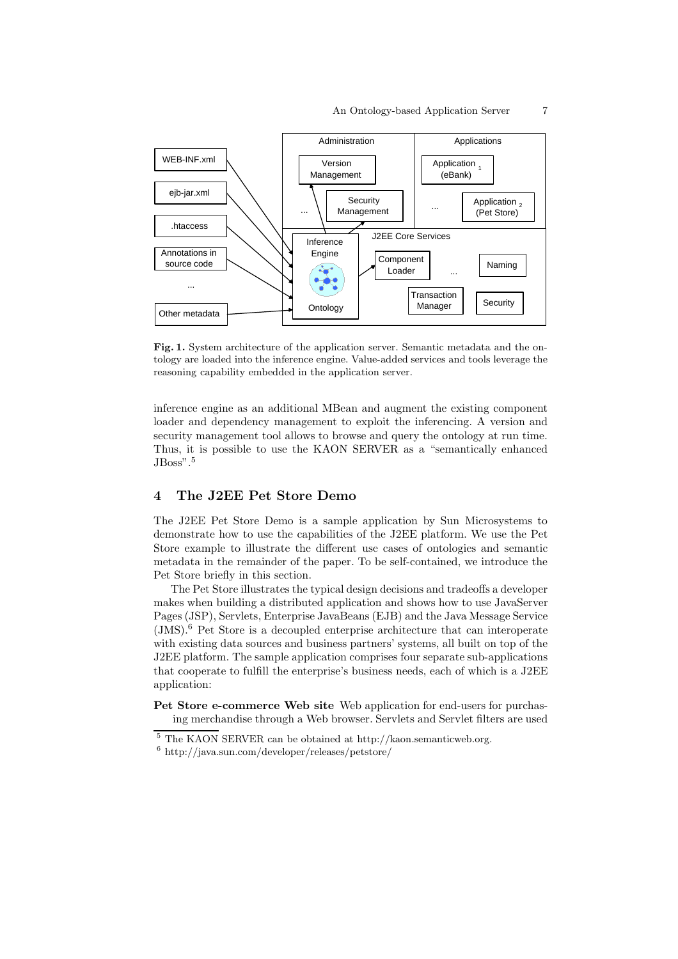

Fig. 1. System architecture of the application server. Semantic metadata and the ontology are loaded into the inference engine. Value-added services and tools leverage the reasoning capability embedded in the application server.

inference engine as an additional MBean and augment the existing component loader and dependency management to exploit the inferencing. A version and security management tool allows to browse and query the ontology at run time. Thus, it is possible to use the KAON SERVER as a "semantically enhanced  $\rm JBoss$ ".<br> $^5$ 

## **4 The J2EE Pet Store Demo**

The J2EE Pet Store Demo is a sample application by Sun Microsystems to demonstrate how to use the capabilities of the J2EE platform. We use the Pet Store example to illustrate the different use cases of ontologies and semantic metadata in the remainder of the paper. To be self-contained, we introduce the Pet Store briefly in this section.

The Pet Store illustrates the typical design decisions and tradeoffs a developer makes when building a distributed application and shows how to use JavaServer Pages (JSP), Servlets, Enterprise JavaBeans (EJB) and the Java Message Service (JMS).<sup>6</sup> Pet Store is a decoupled enterprise architecture that can interoperate with existing data sources and business partners' systems, all built on top of the J2EE platform. The sample application comprises four separate sub-applications that cooperate to fulfill the enterprise's business needs, each of which is a J2EE application:

**Pet Store e-commerce Web site** Web application for end-users for purchasing merchandise through a Web browser. Servlets and Servlet filters are used

 $^5$  The KAON SERVER can be obtained at http://kaon.semanticweb.org.

<sup>6</sup> http://java.sun.com/developer/releases/petstore/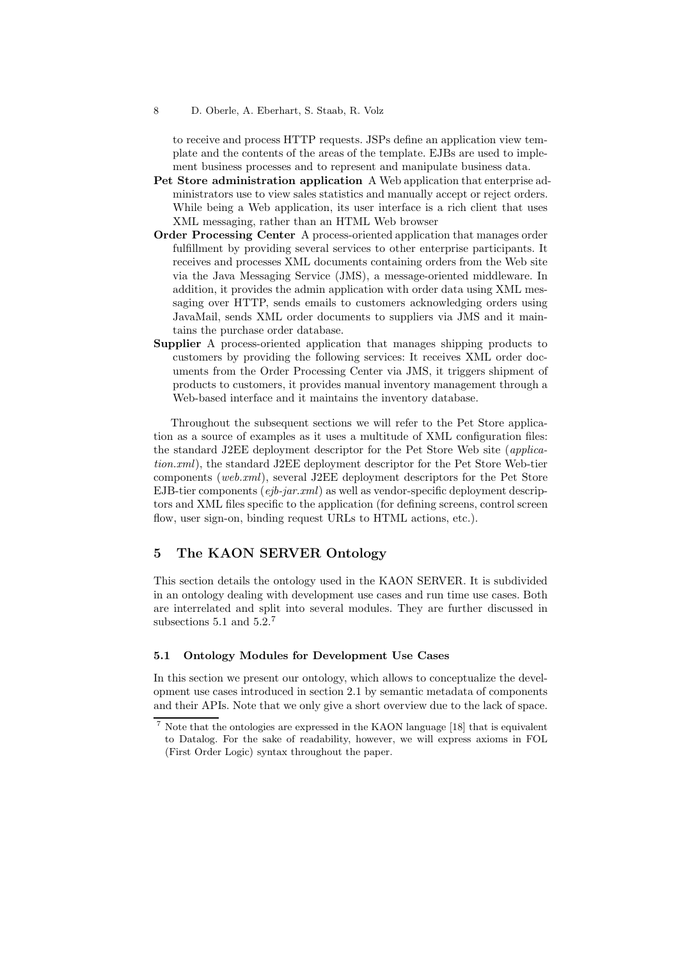to receive and process HTTP requests. JSPs define an application view template and the contents of the areas of the template. EJBs are used to implement business processes and to represent and manipulate business data.

- **Pet Store administration application** A Web application that enterprise administrators use to view sales statistics and manually accept or reject orders. While being a Web application, its user interface is a rich client that uses XML messaging, rather than an HTML Web browser
- **Order Processing Center** A process-oriented application that manages order fulfillment by providing several services to other enterprise participants. It receives and processes XML documents containing orders from the Web site via the Java Messaging Service (JMS), a message-oriented middleware. In addition, it provides the admin application with order data using XML messaging over HTTP, sends emails to customers acknowledging orders using JavaMail, sends XML order documents to suppliers via JMS and it maintains the purchase order database.
- **Supplier** A process-oriented application that manages shipping products to customers by providing the following services: It receives XML order documents from the Order Processing Center via JMS, it triggers shipment of products to customers, it provides manual inventory management through a Web-based interface and it maintains the inventory database.

Throughout the subsequent sections we will refer to the Pet Store application as a source of examples as it uses a multitude of XML configuration files: the standard J2EE deployment descriptor for the Pet Store Web site (*application.xml*), the standard J2EE deployment descriptor for the Pet Store Web-tier components (*web.xml*), several J2EE deployment descriptors for the Pet Store EJB-tier components (*ejb-jar.xml*) as well as vendor-specific deployment descriptors and XML files specific to the application (for defining screens, control screen flow, user sign-on, binding request URLs to HTML actions, etc.).

## **5 The KAON SERVER Ontology**

This section details the ontology used in the KAON SERVER. It is subdivided in an ontology dealing with development use cases and run time use cases. Both are interrelated and split into several modules. They are further discussed in subsections 5.1 and  $5.2<sup>7</sup>$ 

## **5.1 Ontology Modules for Development Use Cases**

In this section we present our ontology, which allows to conceptualize the development use cases introduced in section 2.1 by semantic metadata of components and their APIs. Note that we only give a short overview due to the lack of space.

<sup>7</sup> Note that the ontologies are expressed in the KAON language [18] that is equivalent to Datalog.For the sake of readability, however, we will express axioms in FOL (First Order Logic) syntax throughout the paper.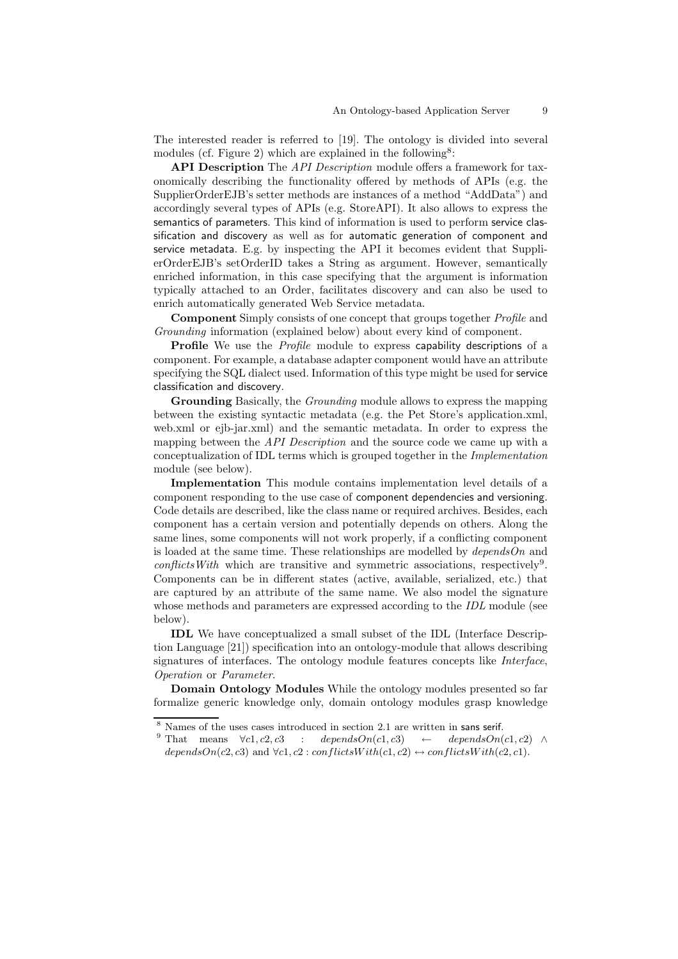The interested reader is referred to [19]. The ontology is divided into several modules (cf. Figure 2) which are explained in the following<sup>8</sup>:

**API Description** The *API Description* module offers a framework for taxonomically describing the functionality offered by methods of APIs (e.g. the SupplierOrderEJB's setter methods are instances of a method "AddData") and accordingly several types of APIs (e.g. StoreAPI). It also allows to express the semantics of parameters. This kind of information is used to perform service classification and discovery as well as for automatic generation of component and service metadata. E.g. by inspecting the API it becomes evident that SupplierOrderEJB's setOrderID takes a String as argument. However, semantically enriched information, in this case specifying that the argument is information typically attached to an Order, facilitates discovery and can also be used to enrich automatically generated Web Service metadata.

**Component** Simply consists of one concept that groups together *Profile* and *Grounding* information (explained below) about every kind of component.

**Profile** We use the *Profile* module to express capability descriptions of a component. For example, a database adapter component would have an attribute specifying the SQL dialect used. Information of this type might be used for service classification and discovery.

**Grounding** Basically, the *Grounding* module allows to express the mapping between the existing syntactic metadata (e.g. the Pet Store's application.xml, web.xml or ejb-jar.xml) and the semantic metadata. In order to express the mapping between the *API Description* and the source code we came up with a conceptualization of IDL terms which is grouped together in the *Implementation* module (see below).

**Implementation** This module contains implementation level details of a component responding to the use case of component dependencies and versioning. Code details are described, like the class name or required archives. Besides, each component has a certain version and potentially depends on others. Along the same lines, some components will not work properly, if a conflicting component is loaded at the same time. These relationships are modelled by *dependsOn* and *conflictsWith* which are transitive and symmetric associations, respectively<sup>9</sup>. Components can be in different states (active, available, serialized, etc.) that are captured by an attribute of the same name. We also model the signature whose methods and parameters are expressed according to the *IDL* module (see below).

**IDL** We have conceptualized a small subset of the IDL (Interface Description Language [21]) specification into an ontology-module that allows describing signatures of interfaces. The ontology module features concepts like *Interface*, *Operation* or *Parameter*.

**Domain Ontology Modules** While the ontology modules presented so far formalize generic knowledge only, domain ontology modules grasp knowledge

<sup>8</sup> Names of the uses cases introduced in section 2.1 are written in sans serif.

<sup>&</sup>lt;sup>9</sup> That means  $\forall c \cdot 1, c \cdot 2, c \cdot 3$  : *dependsOn*(*c* $1, c \cdot 3$ ) ← *dependsOn*(*c* $1, c \cdot 2$ ) ∧  $depends On(c2, c3)$  and  $\forall c1, c2 : conflictsWith(c1, c2) \leftrightarrow conflictsWith(c2, c1).$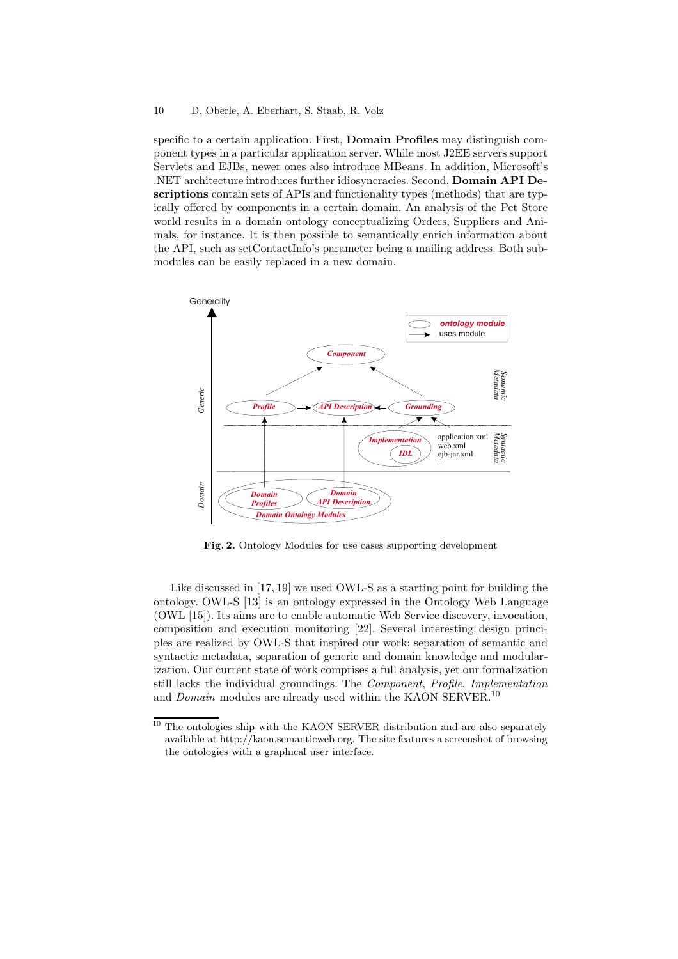specific to a certain application. First, **Domain Profiles** may distinguish component types in a particular application server. While most J2EE servers support Servlets and EJBs, newer ones also introduce MBeans. In addition, Microsoft's .NET architecture introduces further idiosyncracies. Second, **Domain API Descriptions** contain sets of APIs and functionality types (methods) that are typically offered by components in a certain domain. An analysis of the Pet Store world results in a domain ontology conceptualizing Orders, Suppliers and Animals, for instance. It is then possible to semantically enrich information about the API, such as setContactInfo's parameter being a mailing address. Both submodules can be easily replaced in a new domain.



**Fig. 2.** Ontology Modules for use cases supporting development

Like discussed in [17, 19] we used OWL-S as a starting point for building the ontology. OWL-S [13] is an ontology expressed in the Ontology Web Language (OWL [15]). Its aims are to enable automatic Web Service discovery, invocation, composition and execution monitoring [22]. Several interesting design principles are realized by OWL-S that inspired our work: separation of semantic and syntactic metadata, separation of generic and domain knowledge and modularization. Our current state of work comprises a full analysis, yet our formalization still lacks the individual groundings. The *Component*, *Profile*, *Implementation* and *Domain* modules are already used within the KAON SERVER.<sup>10</sup>

<sup>&</sup>lt;sup>10</sup> The ontologies ship with the KAON SERVER distribution and are also separately available at http://kaon.semanticweb.org. The site features a screenshot of browsing the ontologies with a graphical user interface.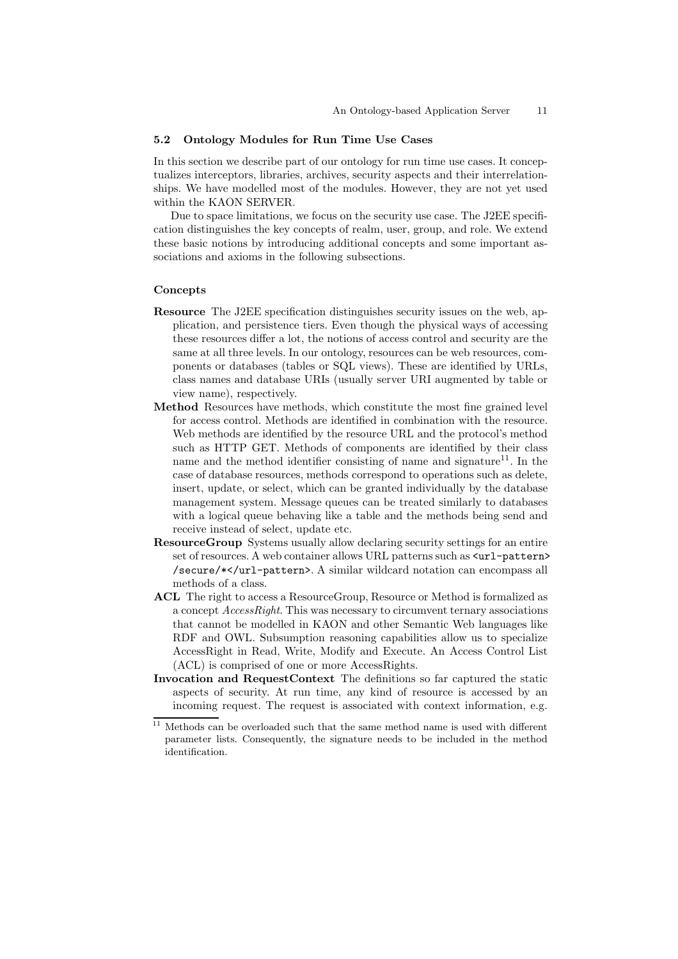#### **5.2 Ontology Modules for Run Time Use Cases**

In this section we describe part of our ontology for run time use cases. It conceptualizes interceptors, libraries, archives, security aspects and their interrelationships. We have modelled most of the modules. However, they are not yet used within the KAON SERVER.

Due to space limitations, we focus on the security use case. The J2EE specification distinguishes the key concepts of realm, user, group, and role. We extend these basic notions by introducing additional concepts and some important associations and axioms in the following subsections.

#### **Concepts**

- **Resource** The J2EE specification distinguishes security issues on the web, application, and persistence tiers. Even though the physical ways of accessing these resources differ a lot, the notions of access control and security are the same at all three levels. In our ontology, resources can be web resources, components or databases (tables or SQL views). These are identified by URLs, class names and database URIs (usually server URI augmented by table or view name), respectively.
- **Method** Resources have methods, which constitute the most fine grained level for access control. Methods are identified in combination with the resource. Web methods are identified by the resource URL and the protocol's method such as HTTP GET. Methods of components are identified by their class name and the method identifier consisting of name and signature<sup>11</sup>. In the case of database resources, methods correspond to operations such as delete, insert, update, or select, which can be granted individually by the database management system. Message queues can be treated similarly to databases with a logical queue behaving like a table and the methods being send and receive instead of select, update etc.
- **ResourceGroup** Systems usually allow declaring security settings for an entire set of resources. A web container allows URL patterns such as  $\langle \text{url-pattern}\rangle$ /secure/\*</url-pattern>. A similar wildcard notation can encompass all methods of a class.
- **ACL** The right to access a ResourceGroup, Resource or Method is formalized as a concept *AccessRight*. This was necessary to circumvent ternary associations that cannot be modelled in KAON and other Semantic Web languages like RDF and OWL. Subsumption reasoning capabilities allow us to specialize AccessRight in Read, Write, Modify and Execute. An Access Control List (ACL) is comprised of one or more AccessRights.
- **Invocation and RequestContext** The definitions so far captured the static aspects of security. At run time, any kind of resource is accessed by an incoming request. The request is associated with context information, e.g.

 $^\mathrm{11}$  Methods can be overloaded such that the same method name is used with different parameter lists.Consequently, the signature needs to be included in the method identification.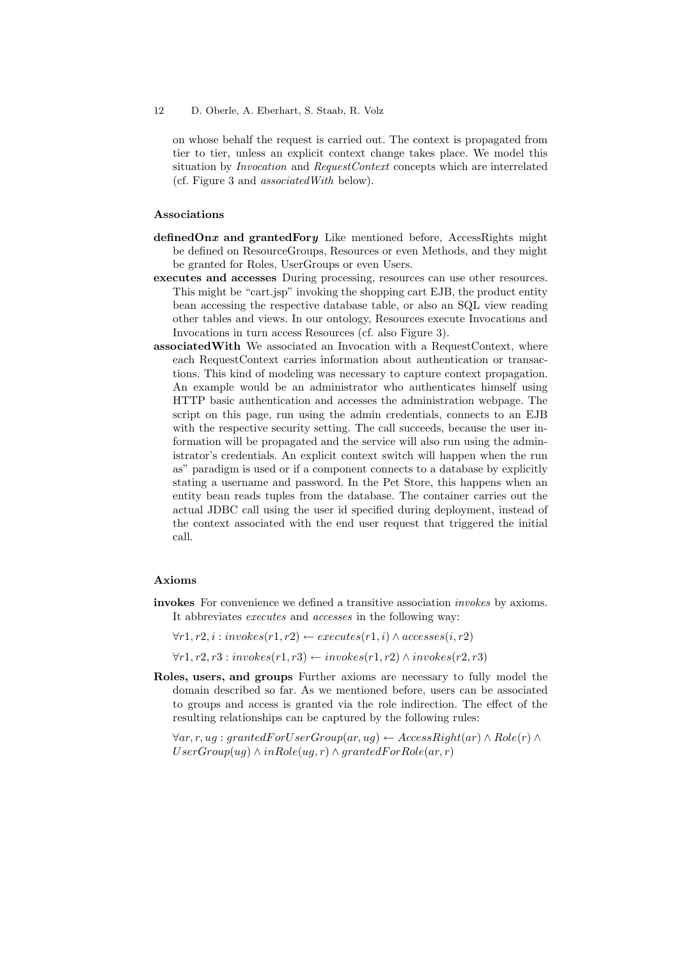on whose behalf the request is carried out. The context is propagated from tier to tier, unless an explicit context change takes place. We model this situation by *Invocation* and *RequestContext* concepts which are interrelated (cf. Figure 3 and *associatedWith* below).

#### **Associations**

- **definedOn***x* **and grantedFor***y* Like mentioned before, AccessRights might be defined on ResourceGroups, Resources or even Methods, and they might be granted for Roles, UserGroups or even Users.
- **executes and accesses** During processing, resources can use other resources. This might be "cart.jsp" invoking the shopping cart EJB, the product entity bean accessing the respective database table, or also an SQL view reading other tables and views. In our ontology, Resources execute Invocations and Invocations in turn access Resources (cf. also Figure 3).
- **associatedWith** We associated an Invocation with a RequestContext, where each RequestContext carries information about authentication or transactions. This kind of modeling was necessary to capture context propagation. An example would be an administrator who authenticates himself using HTTP basic authentication and accesses the administration webpage. The script on this page, run using the admin credentials, connects to an EJB with the respective security setting. The call succeeds, because the user information will be propagated and the service will also run using the administrator's credentials. An explicit context switch will happen when the run as" paradigm is used or if a component connects to a database by explicitly stating a username and password. In the Pet Store, this happens when an entity bean reads tuples from the database. The container carries out the actual JDBC call using the user id specified during deployment, instead of the context associated with the end user request that triggered the initial call.

#### **Axioms**

**invokes** For convenience we defined a transitive association *invokes* by axioms. It abbreviates *executes* and *accesses* in the following way:

∀*r*1*, r*2*, i* : *invokes*(*r*1*, r*2) ← *executes*(*r*1*, i*) ∧ *accesses*(*i, r*2)

∀*r*1*, r*2*, r*3 : *invokes*(*r*1*, r*3) ← *invokes*(*r*1*, r*2) ∧ *invokes*(*r*2*, r*3)

**Roles, users, and groups** Further axioms are necessary to fully model the domain described so far. As we mentioned before, users can be associated to groups and access is granted via the role indirection. The effect of the resulting relationships can be captured by the following rules:

 $\forall ar, r, ug : grantedForUserGroup(ar, ug) \leftarrow AccessRight(ar) \wedge Role(r) \wedge$  $Use rGroup(ug) \wedge inRole(ug, r) \wedge grantedForRole(ar, r)$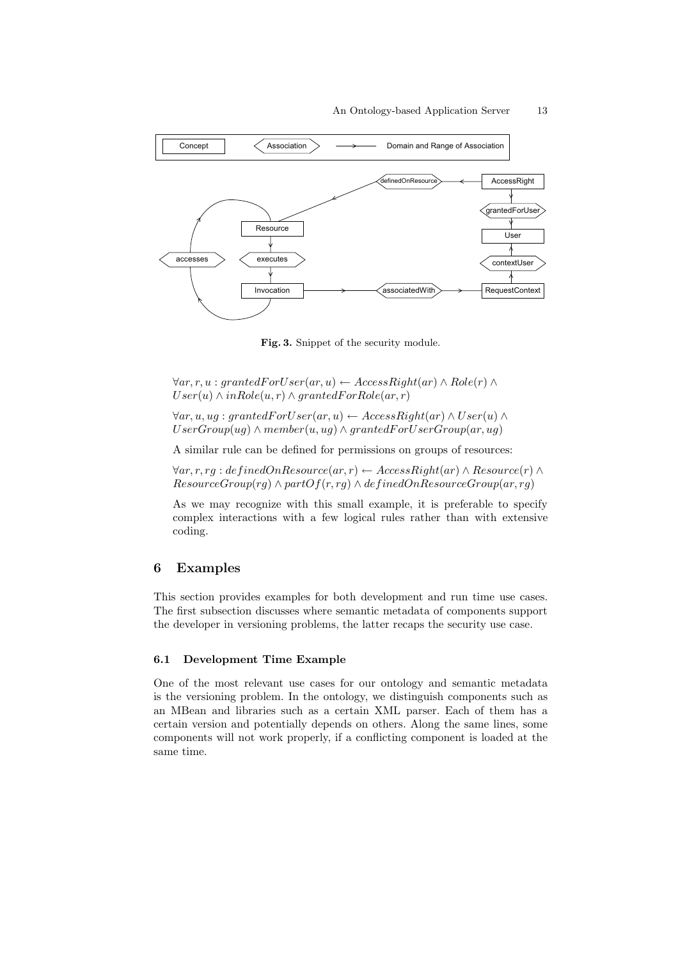

**Fig. 3.** Snippet of the security module.

 $\forall ar, r, u : grantedForUser(ar, u) \leftarrow AccessRight(ar) \wedge Role(r) \wedge$  $User(u) \wedge inRole(u,r) \wedge grantedForRole(ar,r)$ 

 $\forall ar, u, ug : grantedForUser(ar, u) \leftarrow AccessRight(ar) \wedge User(u) \wedge$  $UserGroup(ug) \wedge member(u, ug) \wedge grantedForUserGroup(ar, ug)$ 

A similar rule can be defined for permissions on groups of resources:

 $\forall ar, r, rg : definedOnResource(ar, r) \leftarrow AccessRight(ar) \land Resource(r) \land$  $ResourceGroup(rg) \wedge partOf(r,rg) \wedge definedOnResourceGroup(ar,rg)$ 

As we may recognize with this small example, it is preferable to specify complex interactions with a few logical rules rather than with extensive coding.

## **6 Examples**

This section provides examples for both development and run time use cases. The first subsection discusses where semantic metadata of components support the developer in versioning problems, the latter recaps the security use case.

#### **6.1 Development Time Example**

One of the most relevant use cases for our ontology and semantic metadata is the versioning problem. In the ontology, we distinguish components such as an MBean and libraries such as a certain XML parser. Each of them has a certain version and potentially depends on others. Along the same lines, some components will not work properly, if a conflicting component is loaded at the same time.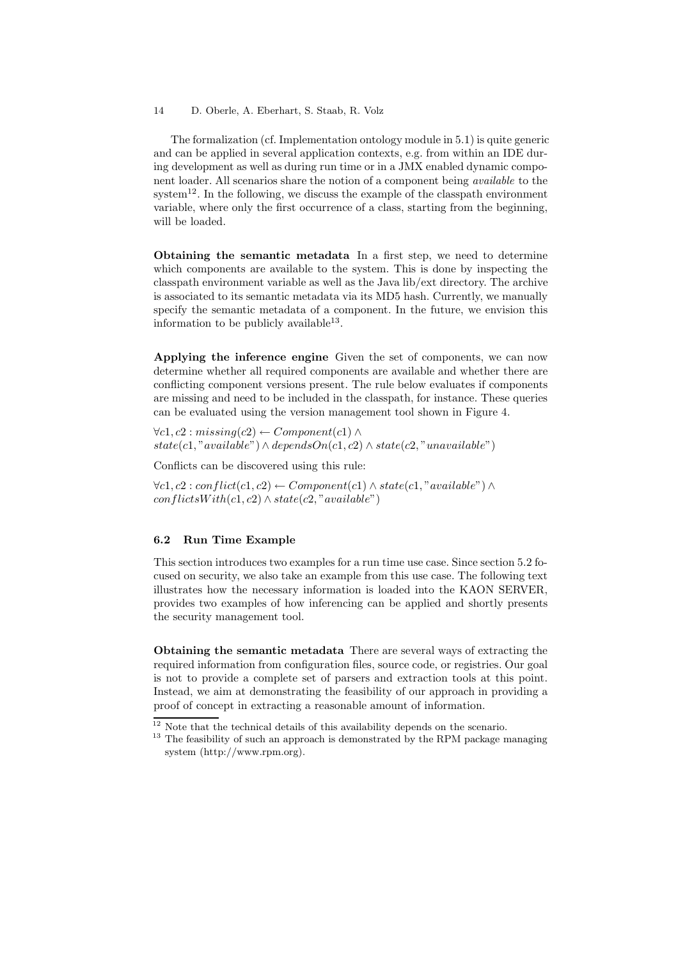The formalization (cf. Implementation ontology module in 5.1) is quite generic and can be applied in several application contexts, e.g. from within an IDE during development as well as during run time or in a JMX enabled dynamic component loader. All scenarios share the notion of a component being *available* to the system<sup>12</sup>. In the following, we discuss the example of the classpath environment variable, where only the first occurrence of a class, starting from the beginning, will be loaded.

**Obtaining the semantic metadata** In a first step, we need to determine which components are available to the system. This is done by inspecting the classpath environment variable as well as the Java lib/ext directory. The archive is associated to its semantic metadata via its MD5 hash. Currently, we manually specify the semantic metadata of a component. In the future, we envision this information to be publicly available<sup>13</sup>.

**Applying the inference engine** Given the set of components, we can now determine whether all required components are available and whether there are conflicting component versions present. The rule below evaluates if components are missing and need to be included in the classpath, for instance. These queries can be evaluated using the version management tool shown in Figure 4.

 $\forall c$ 1*, c*2 : *missing*(*c*2) ← *Component*(*c*1) ∧ *state*(*c*1*,* "*available*")∧ *dependsOn*(*c*1*, c*2) ∧ *state*(*c*2*,* "*unavailable*")

Conflicts can be discovered using this rule:

 $\forall c1, c2 : conflict(c1, c2) \leftarrow Component(c1) \land state(c1, "available") \land$  $conflictsWith(c1, c2) \wedge state(c2, "available")$ 

#### **6.2 Run Time Example**

This section introduces two examples for a run time use case. Since section 5.2 focused on security, we also take an example from this use case. The following text illustrates how the necessary information is loaded into the KAON SERVER, provides two examples of how inferencing can be applied and shortly presents the security management tool.

**Obtaining the semantic metadata** There are several ways of extracting the required information from configuration files, source code, or registries. Our goal is not to provide a complete set of parsers and extraction tools at this point. Instead, we aim at demonstrating the feasibility of our approach in providing a proof of concept in extracting a reasonable amount of information.

 $12$  Note that the technical details of this availability depends on the scenario.

 $^{13}$  The feasibility of such an approach is demonstrated by the RPM package managing system (http://www.rpm.org).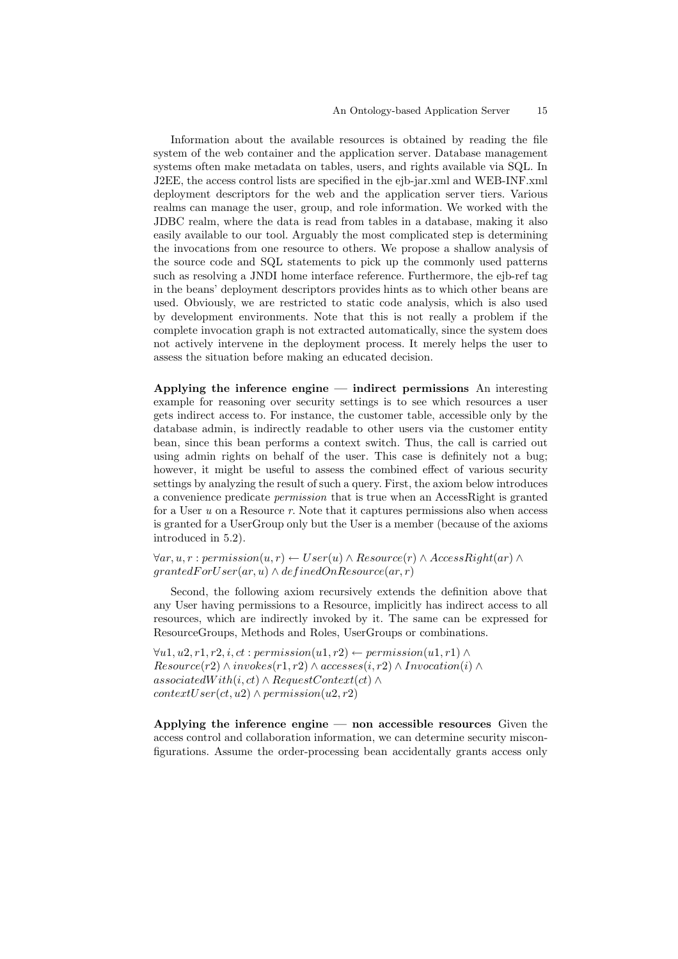Information about the available resources is obtained by reading the file system of the web container and the application server. Database management systems often make metadata on tables, users, and rights available via SQL. In J2EE, the access control lists are specified in the ejb-jar.xml and WEB-INF.xml deployment descriptors for the web and the application server tiers. Various realms can manage the user, group, and role information. We worked with the JDBC realm, where the data is read from tables in a database, making it also easily available to our tool. Arguably the most complicated step is determining the invocations from one resource to others. We propose a shallow analysis of the source code and SQL statements to pick up the commonly used patterns such as resolving a JNDI home interface reference. Furthermore, the ejb-ref tag in the beans' deployment descriptors provides hints as to which other beans are used. Obviously, we are restricted to static code analysis, which is also used by development environments. Note that this is not really a problem if the complete invocation graph is not extracted automatically, since the system does not actively intervene in the deployment process. It merely helps the user to assess the situation before making an educated decision.

**Applying the inference engine — indirect permissions** An interesting example for reasoning over security settings is to see which resources a user gets indirect access to. For instance, the customer table, accessible only by the database admin, is indirectly readable to other users via the customer entity bean, since this bean performs a context switch. Thus, the call is carried out using admin rights on behalf of the user. This case is definitely not a bug; however, it might be useful to assess the combined effect of various security settings by analyzing the result of such a query. First, the axiom below introduces a convenience predicate *permission* that is true when an AccessRight is granted for a User *u* on a Resource *r*. Note that it captures permissions also when access is granted for a UserGroup only but the User is a member (because of the axioms introduced in 5.2).

 $\forall ar, u, r : \text{permission}(u, r) \leftarrow User(u) \land Resource(r) \land AccessRight(ar) \land$ *grantedF orUser*(*ar, u*) ∧ *def inedOnResource*(*ar, r*)

Second, the following axiom recursively extends the definition above that any User having permissions to a Resource, implicitly has indirect access to all resources, which are indirectly invoked by it. The same can be expressed for ResourceGroups, Methods and Roles, UserGroups or combinations.

∀*u*1*, u*2*, r*1*, r*2*, i, ct* : *permission*(*u*1*, r*2) ← *permission*(*u*1*, r*1) ∧  $Resource(r2) \wedge invokes(r1, r2) \wedge accesses(i, r2) \wedge Invocation(i) \wedge$ *associatedW ith*(*i, ct*) ∧ *RequestContext*(*ct*) ∧  $contextUser(ct, u2) \wedge permission(u2, r2)$ 

**Applying the inference engine — non accessible resources** Given the access control and collaboration information, we can determine security misconfigurations. Assume the order-processing bean accidentally grants access only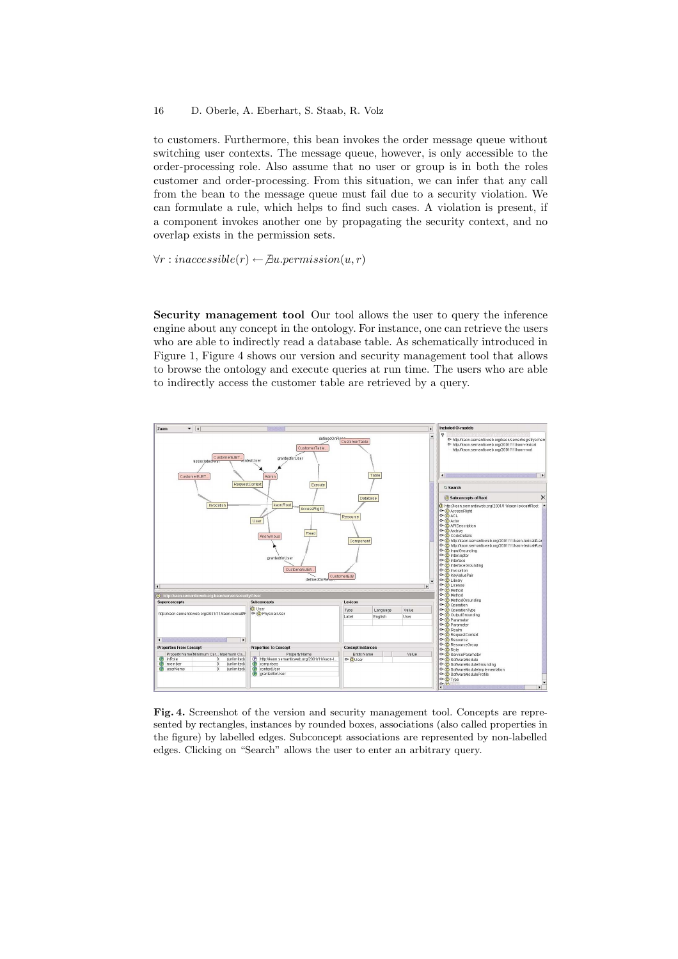to customers. Furthermore, this bean invokes the order message queue without switching user contexts. The message queue, however, is only accessible to the order-processing role. Also assume that no user or group is in both the roles customer and order-processing. From this situation, we can infer that any call from the bean to the message queue must fail due to a security violation. We can formulate a rule, which helps to find such cases. A violation is present, if a component invokes another one by propagating the security context, and no overlap exists in the permission sets.

## ∀*r* : *inaccessible*(*r*) ←∃*u.permission*(*u, r*)

**Security management tool** Our tool allows the user to query the inference engine about any concept in the ontology. For instance, one can retrieve the users who are able to indirectly read a database table. As schematically introduced in Figure 1, Figure 4 shows our version and security management tool that allows to browse the ontology and execute queries at run time. The users who are able to indirectly access the customer table are retrieved by a query.



**Fig. 4.** Screenshot of the version and security management tool.Concepts are represented by rectangles, instances by rounded boxes, associations (also called properties in the figure) by labelled edges. Subconcept associations are represented by non-labelled edges.Clicking on "Search" allows the user to enter an arbitrary query.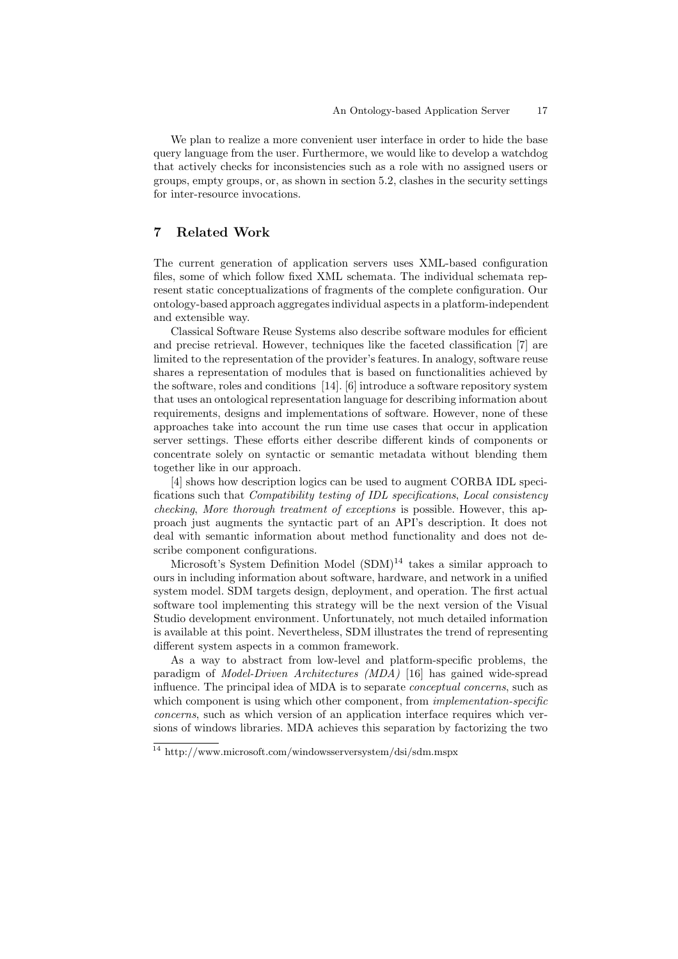We plan to realize a more convenient user interface in order to hide the base query language from the user. Furthermore, we would like to develop a watchdog that actively checks for inconsistencies such as a role with no assigned users or groups, empty groups, or, as shown in section 5.2, clashes in the security settings for inter-resource invocations.

## **7 Related Work**

The current generation of application servers uses XML-based configuration files, some of which follow fixed XML schemata. The individual schemata represent static conceptualizations of fragments of the complete configuration. Our ontology-based approach aggregates individual aspects in a platform-independent and extensible way.

Classical Software Reuse Systems also describe software modules for efficient and precise retrieval. However, techniques like the faceted classification [7] are limited to the representation of the provider's features. In analogy, software reuse shares a representation of modules that is based on functionalities achieved by the software, roles and conditions [14]. [6] introduce a software repository system that uses an ontological representation language for describing information about requirements, designs and implementations of software. However, none of these approaches take into account the run time use cases that occur in application server settings. These efforts either describe different kinds of components or concentrate solely on syntactic or semantic metadata without blending them together like in our approach.

[4] shows how description logics can be used to augment CORBA IDL specifications such that *Compatibility testing of IDL specifications*, *Local consistency checking*, *More thorough treatment of exceptions* is possible. However, this approach just augments the syntactic part of an API's description. It does not deal with semantic information about method functionality and does not describe component configurations.

Microsoft's System Definition Model  $(SDM)^{14}$  takes a similar approach to ours in including information about software, hardware, and network in a unified system model. SDM targets design, deployment, and operation. The first actual software tool implementing this strategy will be the next version of the Visual Studio development environment. Unfortunately, not much detailed information is available at this point. Nevertheless, SDM illustrates the trend of representing different system aspects in a common framework.

As a way to abstract from low-level and platform-specific problems, the paradigm of *Model-Driven Architectures (MDA)* [16] has gained wide-spread influence. The principal idea of MDA is to separate *conceptual concerns*, such as which component is using which other component, from *implementation-specific concerns*, such as which version of an application interface requires which versions of windows libraries. MDA achieves this separation by factorizing the two

 $\frac{14 \text{ http://www.microsoft.com/windowsserversystem/dsi/sdm.mspx}}{14 \text{ http://www.microsoft.com/windowsserversystem/dsi/sdm.mspx}}$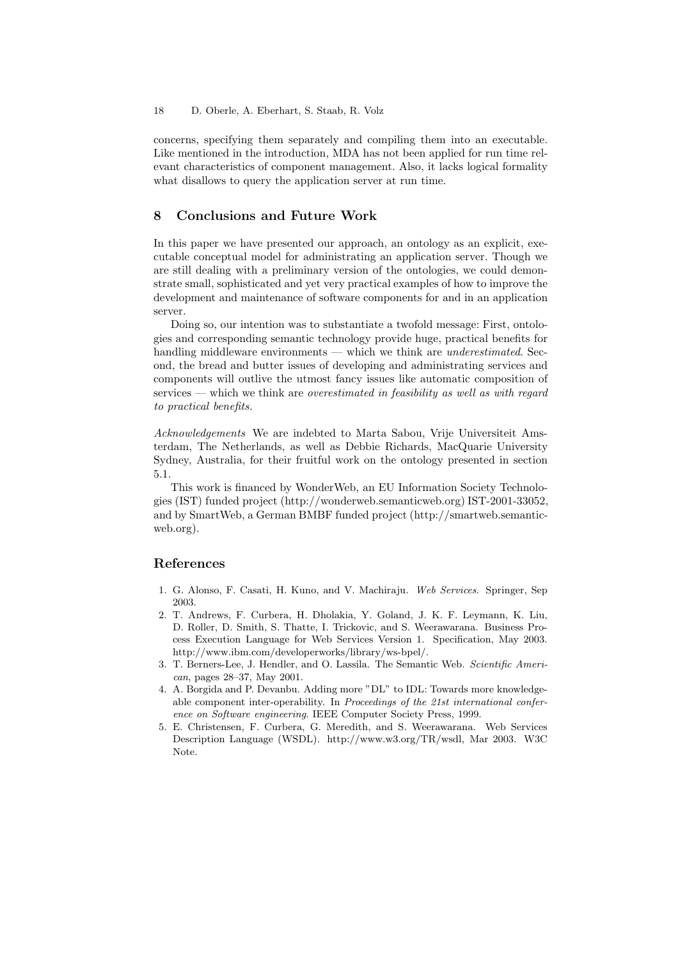concerns, specifying them separately and compiling them into an executable. Like mentioned in the introduction, MDA has not been applied for run time relevant characteristics of component management. Also, it lacks logical formality what disallows to query the application server at run time.

## **8 Conclusions and Future Work**

In this paper we have presented our approach, an ontology as an explicit, executable conceptual model for administrating an application server. Though we are still dealing with a preliminary version of the ontologies, we could demonstrate small, sophisticated and yet very practical examples of how to improve the development and maintenance of software components for and in an application server.

Doing so, our intention was to substantiate a twofold message: First, ontologies and corresponding semantic technology provide huge, practical benefits for handling middleware environments — which we think are *underestimated*. Second, the bread and butter issues of developing and administrating services and components will outlive the utmost fancy issues like automatic composition of services — which we think are *overestimated in feasibility as well as with regard to practical benefits.*

*Acknowledgements* We are indebted to Marta Sabou, Vrije Universiteit Amsterdam, The Netherlands, as well as Debbie Richards, MacQuarie University Sydney, Australia, for their fruitful work on the ontology presented in section 5.1.

This work is financed by WonderWeb, an EU Information Society Technologies (IST) funded project (http://wonderweb.semanticweb.org) IST-2001-33052, and by SmartWeb, a German BMBF funded project (http://smartweb.semanticweb.org).

## **References**

- 1. G.Alonso, F.Casati, H.Kuno, and V.Machiraju. *Web Services*.Springer, Sep 2003.
- 2.T.Andrews, F.Curbera, H.Dholakia, Y.Goland, J.K.F.Leymann, K.Liu, D. Roller, D. Smith, S. Thatte, I. Trickovic, and S. Weerawarana. Business Process Execution Language for Web Services Version 1. Specification, May 2003. http://www.ibm.com/developerworks/library/ws-bpel/.
- 3. T.Berners-Lee, J.Hendler, and O.Lassila. The Semantic Web. *Scientific American*, pages 28–37, May 2001.
- 4. A.Borgida and P.Devanbu.Adding more "DL" to IDL: Towards more knowledgeable component inter-operability. In *Proceedings of the 21st international conference on Software engineering*.IEEE Computer Society Press, 1999.
- 5.E.Christensen, F.Curbera, G.Meredith, and S.Weerawarana. Web Services Description Language (WSDL). http://www.w3.org/TR/wsdl, Mar 2003. W3C Note.